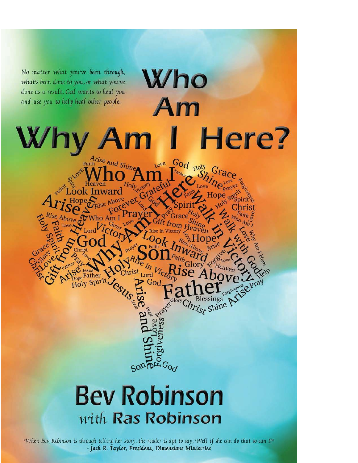

"When Bev Robinson is through telling her story, the reader is apt to say, 'Well if she can do that so can I!" - Jack R. Taylor, President, Dimensions Ministries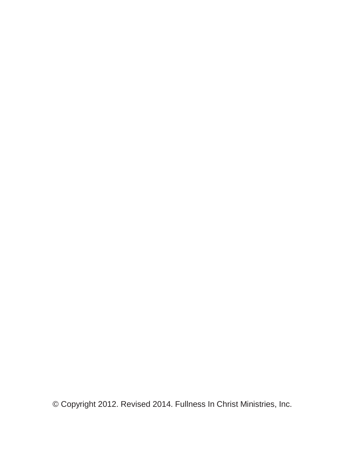© Copyright 2012. Revised 2014. Fullness In Christ Ministries, Inc.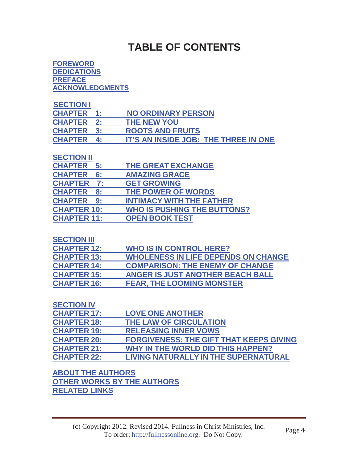## **TABLE OF CONTENTS**

#### **FOREWORD DEDICATIONS PREFACE ACKNOWLEDGMENTS**

| <b>SECTION I</b>  |                                      |
|-------------------|--------------------------------------|
| <b>CHAPTER</b>    | <b>NO ORDINARY PERSON</b>            |
| <b>CHAPTER</b> 2: | <b>THE NEW YOU</b>                   |
| <b>CHAPTER 3:</b> | <b>ROOTS AND FRUITS</b>              |
| <b>CHAPTER</b> 4: | IT'S AN INSIDE JOB: THE THREE IN ONE |

#### **SECTION II**

| <b>CHAPTER 5:</b>    | THE GREAT EXCHANGE                 |
|----------------------|------------------------------------|
| <b>CHAPTER</b><br>6: | <b>AMAZING GRACE</b>               |
| <b>CHAPTER 7:</b>    | <b>GET GROWING</b>                 |
| <b>CHAPTER</b><br>8: | THE POWER OF WORDS                 |
| <b>CHAPTER 9:</b>    | <b>INTIMACY WITH THE FATHER</b>    |
| <b>CHAPTER 10:</b>   | <b>WHO IS PUSHING THE BUTTONS?</b> |
| <b>CHAPTER 11:</b>   | <b>OPEN BOOK TEST</b>              |
|                      |                                    |

#### **SECTION III**

| <b>CHAPTER 12:</b> | <b>WHO IS IN CONTROL HERE?</b>             |
|--------------------|--------------------------------------------|
| <b>CHAPTER 13:</b> | <b>WHOLENESS IN LIFE DEPENDS ON CHANGE</b> |
| <b>CHAPTER 14:</b> | <b>COMPARISON: THE ENEMY OF CHANGE</b>     |
| <b>CHAPTER 15:</b> | <b>ANGER IS JUST ANOTHER BEACH BALL</b>    |
| <b>CHAPTER 16:</b> | <b>FEAR, THE LOOMING MONSTER</b>           |

#### **SECTION IV**

| <b>CHAPTER 17:</b> | <b>LOVE ONE ANOTHER</b>                        |
|--------------------|------------------------------------------------|
| <b>CHAPTER 18:</b> | THE LAW OF CIRCULATION                         |
| <b>CHAPTER 19:</b> | <b>RELEASING INNER VOWS</b>                    |
| <b>CHAPTER 20:</b> | <b>FORGIVENESS: THE GIFT THAT KEEPS GIVING</b> |
| <b>CHAPTER 21:</b> | WHY IN THE WORLD DID THIS HAPPEN?              |
| <b>CHAPTER 22:</b> | <b>LIVING NATURALLY IN THE SUPERNATURAL</b>    |

#### **ABOUT THE AUTHORS OTHER WORKS BY THE AUTHORS RELATED LINKS**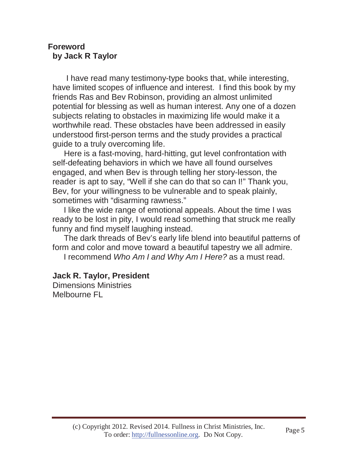#### **Foreword by Jack R Taylor**

I have read many testimony-type books that, while interesting, have limited scopes of influence and interest. I find this book by my friends Ras and Bev Robinson, providing an almost unlimited potential for blessing as well as human interest. Any one of a dozen subjects relating to obstacles in maximizing life would make it a worthwhile read. These obstacles have been addressed in easily understood first-person terms and the study provides a practical guide to a truly overcoming life.

Here is a fast-moving, hard-hitting, gut level confrontation with self-defeating behaviors in which we have all found ourselves engaged, and when Bev is through telling her story-lesson, the reader is apt to say, "Well if she can do that so can I!" Thank you, Bev, for your willingness to be vulnerable and to speak plainly, sometimes with "disarming rawness."

I like the wide range of emotional appeals. About the time I was ready to be lost in pity, I would read something that struck me really funny and find myself laughing instead.

The dark threads of Bev's early life blend into beautiful patterns of form and color and move toward a beautiful tapestry we all admire.

I recommend *Who Am I and Why Am I Here?* as a must read.

#### **Jack R. Taylor, President**

Dimensions Ministries Melbourne FL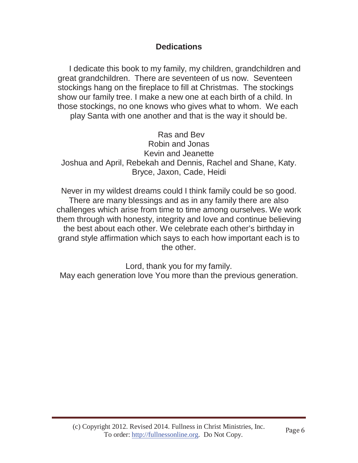### **Dedications**

I dedicate this book to my family, my children, grandchildren and great grandchildren. There are seventeen of us now. Seventeen stockings hang on the fireplace to fill at Christmas. The stockings show our family tree. I make a new one at each birth of a child. In those stockings, no one knows who gives what to whom. We each play Santa with one another and that is the way it should be.

Ras and Bev Robin and Jonas Kevin and Jeanette Joshua and April, Rebekah and Dennis, Rachel and Shane, Katy. Bryce, Jaxon, Cade, Heidi

Never in my wildest dreams could I think family could be so good. There are many blessings and as in any family there are also challenges which arise from time to time among ourselves. We work them through with honesty, integrity and love and continue believing the best about each other. We celebrate each other's birthday in grand style affirmation which says to each how important each is to the other.

Lord, thank you for my family. May each generation love You more than the previous generation.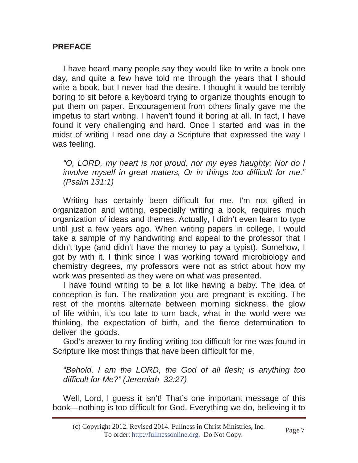#### **PREFACE**

I have heard many people say they would like to write a book one day, and quite a few have told me through the years that I should write a book, but I never had the desire. I thought it would be terribly boring to sit before a keyboard trying to organize thoughts enough to put them on paper. Encouragement from others finally gave me the impetus to start writing. I haven't found it boring at all. In fact, I have found it very challenging and hard. Once I started and was in the midst of writing I read one day a Scripture that expressed the way I was feeling.

*"O, LORD, my heart is not proud, nor my eyes haughty; Nor do I involve myself in great matters, Or in things too difficult for me." (Psalm 131:1)*

Writing has certainly been difficult for me. I'm not gifted in organization and writing, especially writing a book, requires much organization of ideas and themes. Actually, I didn't even learn to type until just a few years ago. When writing papers in college, I would take a sample of my handwriting and appeal to the professor that I didn't type (and didn't have the money to pay a typist). Somehow, I got by with it. I think since I was working toward microbiology and chemistry degrees, my professors were not as strict about how my work was presented as they were on what was presented.

I have found writing to be a lot like having a baby. The idea of conception is fun. The realization you are pregnant is exciting. The rest of the months alternate between morning sickness, the glow of life within, it's too late to turn back, what in the world were we thinking, the expectation of birth, and the fierce determination to deliver the goods.

God's answer to my finding writing too difficult for me was found in Scripture like most things that have been difficult for me,

*"Behold, I am the LORD, the God of all flesh; is anything too difficult for Me?" (Jeremiah 32:27)*

Well, Lord, I guess it isn't! That's one important message of this book—nothing is too difficult for God. Everything we do, believing it to

<sup>(</sup>c) Copyright 2012. Revised 2014. Fullness in Christ Ministries, Inc. To order: http://fullnessonline.org. Do Not Copy.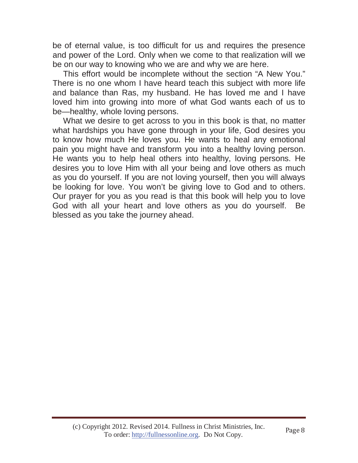be of eternal value, is too difficult for us and requires the presence and power of the Lord. Only when we come to that realization will we be on our way to knowing who we are and why we are here.

This effort would be incomplete without the section "A New You." There is no one whom I have heard teach this subject with more life and balance than Ras, my husband. He has loved me and I have loved him into growing into more of what God wants each of us to be—healthy, whole loving persons.

What we desire to get across to you in this book is that, no matter what hardships you have gone through in your life, God desires you to know how much He loves you. He wants to heal any emotional pain you might have and transform you into a healthy loving person. He wants you to help heal others into healthy, loving persons. He desires you to love Him with all your being and love others as much as you do yourself. If you are not loving yourself, then you will always be looking for love. You won't be giving love to God and to others. Our prayer for you as you read is that this book will help you to love God with all your heart and love others as you do yourself. Be blessed as you take the journey ahead.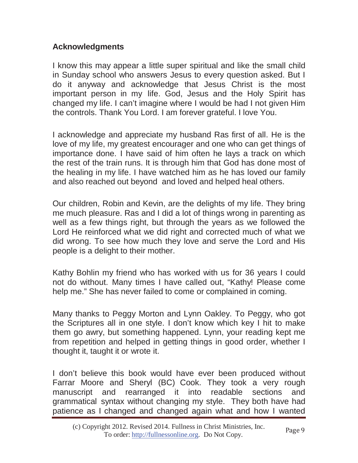### **Acknowledgments**

I know this may appear a little super spiritual and like the small child in Sunday school who answers Jesus to every question asked. But I do it anyway and acknowledge that Jesus Christ is the most important person in my life. God, Jesus and the Holy Spirit has changed my life. I can't imagine where I would be had I not given Him the controls. Thank You Lord. I am forever grateful. I love You.

I acknowledge and appreciate my husband Ras first of all. He is the love of my life, my greatest encourager and one who can get things of importance done. I have said of him often he lays a track on which the rest of the train runs. It is through him that God has done most of the healing in my life. I have watched him as he has loved our family and also reached out beyond and loved and helped heal others.

Our children, Robin and Kevin, are the delights of my life. They bring me much pleasure. Ras and I did a lot of things wrong in parenting as well as a few things right, but through the years as we followed the Lord He reinforced what we did right and corrected much of what we did wrong. To see how much they love and serve the Lord and His people is a delight to their mother.

Kathy Bohlin my friend who has worked with us for 36 years I could not do without. Many times I have called out, "Kathy! Please come help me." She has never failed to come or complained in coming.

Many thanks to Peggy Morton and Lynn Oakley. To Peggy, who got the Scriptures all in one style. I don't know which key I hit to make them go awry, but something happened. Lynn, your reading kept me from repetition and helped in getting things in good order, whether I thought it, taught it or wrote it.

I don't believe this book would have ever been produced without Farrar Moore and Sheryl (BC) Cook. They took a very rough manuscript and rearranged it into readable sections and grammatical syntax without changing my style. They both have had patience as I changed and changed again what and how I wanted

<sup>(</sup>c) Copyright 2012. Revised 2014. Fullness in Christ Ministries, Inc. To order: http://fullnessonline.org. Do Not Copy.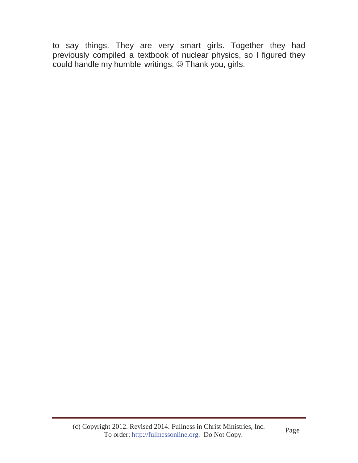to say things. They are very smart girls. Together they had previously compiled a textbook of nuclear physics, so I figured they could handle my humble writings. @ Thank you, girls.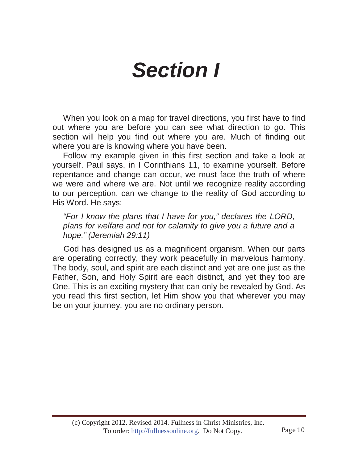# *Section I*

When you look on a map for travel directions, you first have to find out where you are before you can see what direction to go. This section will help you find out where you are. Much of finding out where you are is knowing where you have been.

Follow my example given in this first section and take a look at yourself. Paul says, in I Corinthians 11, to examine yourself. Before repentance and change can occur, we must face the truth of where we were and where we are. Not until we recognize reality according to our perception, can we change to the reality of God according to His Word. He says:

*"For I know the plans that I have for you," declares the LORD, plans for welfare and not for calamity to give you a future and a hope." (Jeremiah 29:11)*

God has designed us as a magnificent organism. When our parts are operating correctly, they work peacefully in marvelous harmony. The body, soul, and spirit are each distinct and yet are one just as the Father, Son, and Holy Spirit are each distinct, and yet they too are One. This is an exciting mystery that can only be revealed by God. As you read this first section, let Him show you that wherever you may be on your journey, you are no ordinary person.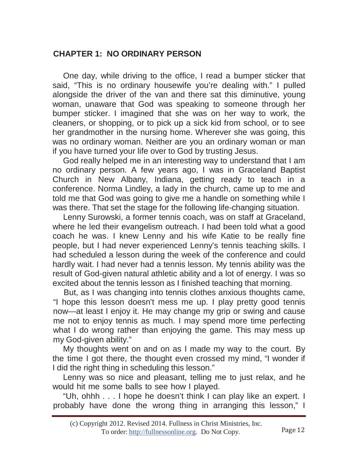### **CHAPTER 1: NO ORDINARY PERSON**

One day, while driving to the office, I read a bumper sticker that said, "This is no ordinary housewife you're dealing with." I pulled alongside the driver of the van and there sat this diminutive, young woman, unaware that God was speaking to someone through her bumper sticker. I imagined that she was on her way to work, the cleaners, or shopping, or to pick up a sick kid from school, or to see her grandmother in the nursing home. Wherever she was going, this was no ordinary woman. Neither are you an ordinary woman or man if you have turned your life over to God by trusting Jesus.

God really helped me in an interesting way to understand that I am no ordinary person. A few years ago, I was in Graceland Baptist Church in New Albany, Indiana, getting ready to teach in a conference. Norma Lindley, a lady in the church, came up to me and told me that God was going to give me a handle on something while I was there. That set the stage for the following life-changing situation.

Lenny Surowski, a former tennis coach, was on staff at Graceland, where he led their evangelism outreach. I had been told what a good coach he was. I knew Lenny and his wife Katie to be really fine people, but I had never experienced Lenny's tennis teaching skills. I had scheduled a lesson during the week of the conference and could hardly wait. I had never had a tennis lesson. My tennis ability was the result of God-given natural athletic ability and a lot of energy. I was so excited about the tennis lesson as I finished teaching that morning.

But, as I was changing into tennis clothes anxious thoughts came, "I hope this lesson doesn't mess me up. I play pretty good tennis now—at least I enjoy it. He may change my grip or swing and cause me not to enjoy tennis as much. I may spend more time perfecting what I do wrong rather than enjoying the game. This may mess up my God-given ability."

My thoughts went on and on as I made my way to the court. By the time I got there, the thought even crossed my mind, "I wonder if I did the right thing in scheduling this lesson."

Lenny was so nice and pleasant, telling me to just relax, and he would hit me some balls to see how I played.

"Uh, ohhh . . . I hope he doesn't think I can play like an expert. I probably have done the wrong thing in arranging this lesson," I

<sup>(</sup>c) Copyright 2012. Revised 2014. Fullness in Christ Ministries, Inc. To order: http://fullnessonline.org. Do Not Copy. Page 12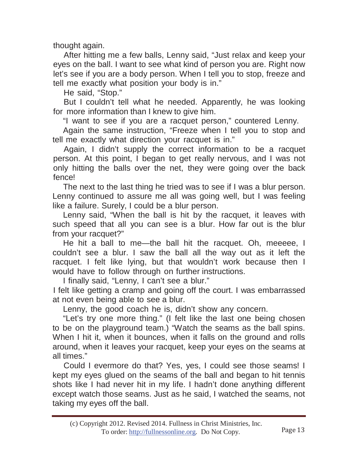thought again.

After hitting me a few balls, Lenny said, "Just relax and keep your eyes on the ball. I want to see what kind of person you are. Right now let's see if you are a body person. When I tell you to stop, freeze and tell me exactly what position your body is in."

He said, "Stop."

But I couldn't tell what he needed. Apparently, he was looking for more information than I knew to give him.

"I want to see if you are a racquet person," countered Lenny.

Again the same instruction, "Freeze when I tell you to stop and tell me exactly what direction your racquet is in."

Again, I didn't supply the correct information to be a racquet person. At this point, I began to get really nervous, and I was not only hitting the balls over the net, they were going over the back fence!

The next to the last thing he tried was to see if I was a blur person. Lenny continued to assure me all was going well, but I was feeling like a failure. Surely, I could be a blur person.

Lenny said, "When the ball is hit by the racquet, it leaves with such speed that all you can see is a blur. How far out is the blur from your racquet?"

He hit a ball to me—the ball hit the racquet. Oh, meeeee, I couldn't see a blur. I saw the ball all the way out as it left the racquet. I felt like lying, but that wouldn't work because then I would have to follow through on further instructions.

I finally said, "Lenny, I can't see a blur."

I felt like getting a cramp and going off the court. I was embarrassed at not even being able to see a blur.

Lenny, the good coach he is, didn't show any concern.

"Let's try one more thing." (I felt like the last one being chosen to be on the playground team.) "Watch the seams as the ball spins. When I hit it, when it bounces, when it falls on the ground and rolls around, when it leaves your racquet, keep your eyes on the seams at all times."

Could I evermore do that? Yes, yes, I could see those seams! I kept my eyes glued on the seams of the ball and began to hit tennis shots like I had never hit in my life. I hadn't done anything different except watch those seams. Just as he said, I watched the seams, not taking my eyes off the ball.